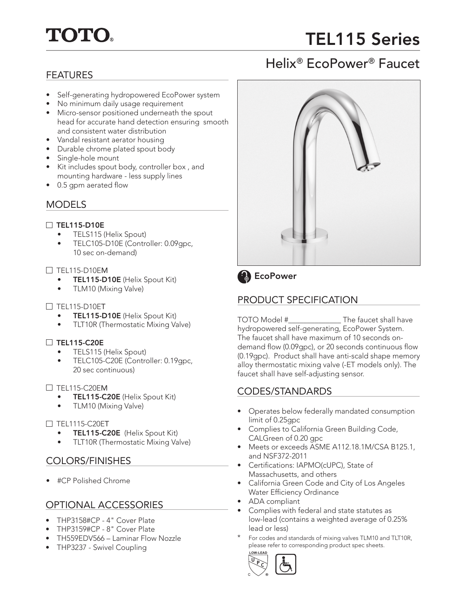# **TOTO.**

## TEL115 Series

Helix® EcoPower® Faucet

## FEATURES

- Self-generating hydropowered EcoPower system
- No minimum daily usage requirement
- Micro-sensor positioned underneath the spout head for accurate hand detection ensuring smooth and consistent water distribution
- Vandal resistant aerator housing
- Durable chrome plated spout body
- Single-hole mount
- Kit includes spout body, controller box , and mounting hardware - less supply lines
- 0.5 gpm aerated flow

### **MODELS**

#### $\Box$  TEL115-D10E

- TELS115 (Helix Spout)
- TELC105-D10E (Controller: 0.09gpc, 10 sec on-demand)

#### $\Box$  TEL115-D10EM

- **TEL115-D10E** (Helix Spout Kit)
- TLM10 (Mixing Valve)

#### $\Box$  TEL115-D10ET

- TEL115-D10E (Helix Spout Kit)
- TLT10R (Thermostatic Mixing Valve)

#### $\Box$  TEL115-C20E

- TELS115 (Helix Spout)
- TELC105-C20E (Controller: 0.19gpc, 20 sec continuous)

#### $\Box$  TFI 115-C20FM

- TEL115-C20E (Helix Spout Kit)
- TLM10 (Mixing Valve)

#### $\Box$  TEL1115-C20ET

- TEL115-C20E (Helix Spout Kit)
- TLT10R (Thermostatic Mixing Valve)

## COLORS/FINISHES

• #CP Polished Chrome

## OPTIONAL ACCESSORIES

- THP3158#CP 4" Cover Plate
- THP3159#CP 8" Cover Plate
- TH559EDV566 Laminar Flow Nozzle
- THP3237 Swivel Coupling





## **B** EcoPower

## PRODUCT SPECIFICATION

TOTO Model #\_\_\_\_\_\_\_\_\_\_\_\_\_\_ The faucet shall have hydropowered self-generating, EcoPower System. The faucet shall have maximum of 10 seconds ondemand flow (0.09gpc), or 20 seconds continuous flow (0.19gpc). Product shall have anti-scald shape memory alloy thermostatic mixing valve (-ET models only). The faucet shall have self-adjusting sensor.

## CODES/STANDARDS

- Operates below federally mandated consumption limit of 0.25gpc
- Complies to California Green Building Code, CALGreen of 0.20 gpc
- Meets or exceeds ASME A112.18.1M/CSA B125.1, and NSF372-2011
- Certifications: IAPMO(cUPC), State of Massachusetts, and others
- California Green Code and City of Los Angeles Water Efficiency Ordinance
- ADA compliant
- Complies with federal and state statutes as low-lead (contains a weighted average of 0.25% lead or less)
- For codes and standards of mixing valves TLM10 and TLT10R, please refer to corresponding product spec sheets.